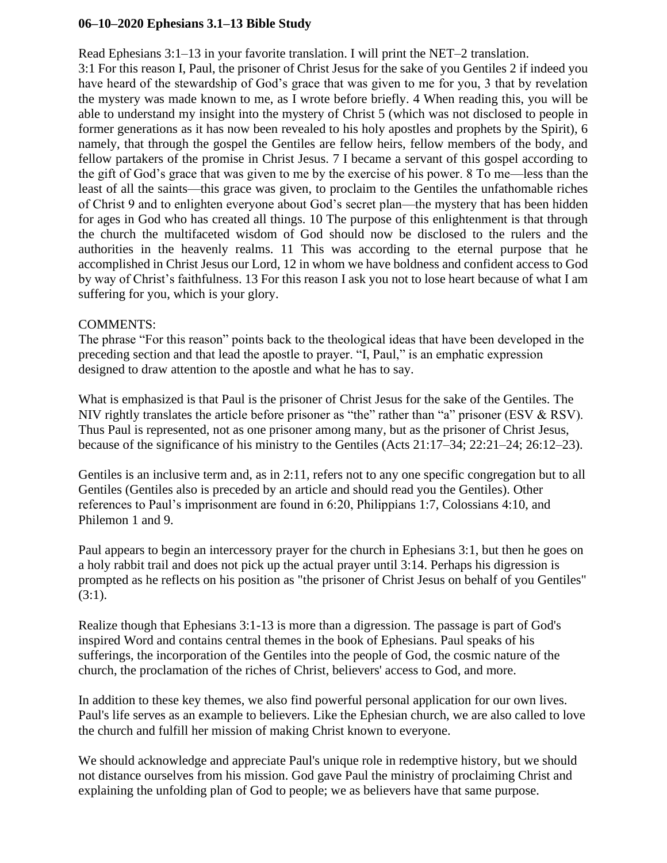## **06–10–2020 Ephesians 3.1–13 Bible Study**

Read Ephesians 3:1–13 in your favorite translation. I will print the NET–2 translation. 3:1 For this reason I, Paul, the prisoner of Christ Jesus for the sake of you Gentiles 2 if indeed you have heard of the stewardship of God's grace that was given to me for you, 3 that by revelation the mystery was made known to me, as I wrote before briefly. 4 When reading this, you will be able to understand my insight into the mystery of Christ 5 (which was not disclosed to people in former generations as it has now been revealed to his holy apostles and prophets by the Spirit), 6 namely, that through the gospel the Gentiles are fellow heirs, fellow members of the body, and fellow partakers of the promise in Christ Jesus. 7 I became a servant of this gospel according to the gift of God's grace that was given to me by the exercise of his power. 8 To me—less than the least of all the saints—this grace was given, to proclaim to the Gentiles the unfathomable riches of Christ 9 and to enlighten everyone about God's secret plan—the mystery that has been hidden for ages in God who has created all things. 10 The purpose of this enlightenment is that through the church the multifaceted wisdom of God should now be disclosed to the rulers and the authorities in the heavenly realms. 11 This was according to the eternal purpose that he accomplished in Christ Jesus our Lord, 12 in whom we have boldness and confident access to God by way of Christ's faithfulness. 13 For this reason I ask you not to lose heart because of what I am suffering for you, which is your glory.

## COMMENTS:

The phrase "For this reason" points back to the theological ideas that have been developed in the preceding section and that lead the apostle to prayer. "I, Paul," is an emphatic expression designed to draw attention to the apostle and what he has to say.

What is emphasized is that Paul is the prisoner of Christ Jesus for the sake of the Gentiles. The NIV rightly translates the article before prisoner as "the" rather than "a" prisoner (ESV & RSV). Thus Paul is represented, not as one prisoner among many, but as the prisoner of Christ Jesus, because of the significance of his ministry to the Gentiles (Acts 21:17–34; 22:21–24; 26:12–23).

Gentiles is an inclusive term and, as in 2:11, refers not to any one specific congregation but to all Gentiles (Gentiles also is preceded by an article and should read you the Gentiles). Other references to Paul's imprisonment are found in 6:20, Philippians 1:7, Colossians 4:10, and Philemon 1 and 9.

Paul appears to begin an intercessory prayer for the church in Ephesians 3:1, but then he goes on a holy rabbit trail and does not pick up the actual prayer until 3:14. Perhaps his digression is prompted as he reflects on his position as "the prisoner of Christ Jesus on behalf of you Gentiles"  $(3:1)$ .

Realize though that Ephesians 3:1-13 is more than a digression. The passage is part of God's inspired Word and contains central themes in the book of Ephesians. Paul speaks of his sufferings, the incorporation of the Gentiles into the people of God, the cosmic nature of the church, the proclamation of the riches of Christ, believers' access to God, and more.

In addition to these key themes, we also find powerful personal application for our own lives. Paul's life serves as an example to believers. Like the Ephesian church, we are also called to love the church and fulfill her mission of making Christ known to everyone.

We should acknowledge and appreciate Paul's unique role in redemptive history, but we should not distance ourselves from his mission. God gave Paul the ministry of proclaiming Christ and explaining the unfolding plan of God to people; we as believers have that same purpose.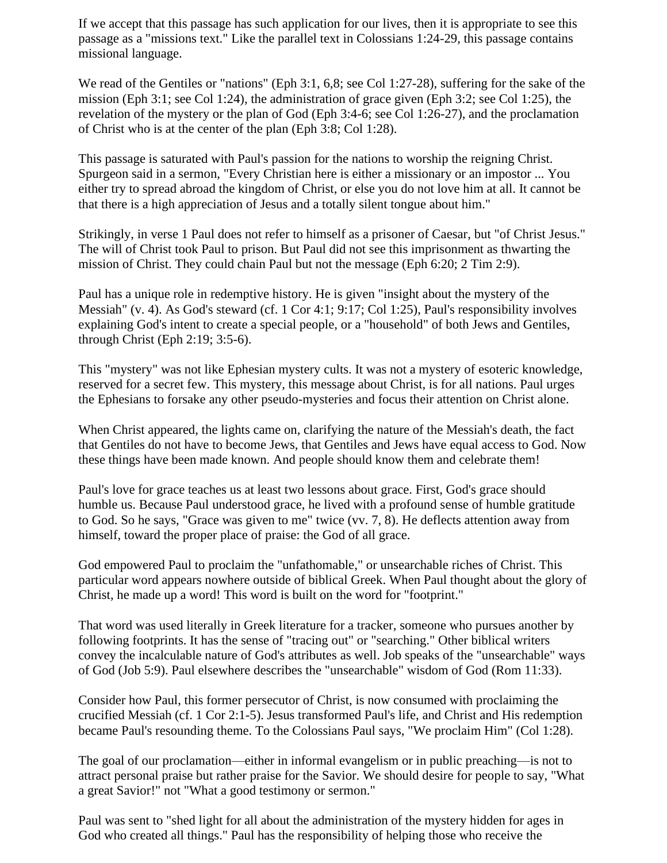If we accept that this passage has such application for our lives, then it is appropriate to see this passage as a "missions text." Like the parallel text in Colossians 1:24-29, this passage contains missional language.

We read of the Gentiles or "nations" (Eph 3:1, 6,8; see Col 1:27-28), suffering for the sake of the mission (Eph 3:1; see Col 1:24), the administration of grace given (Eph 3:2; see Col 1:25), the revelation of the mystery or the plan of God (Eph 3:4-6; see Col 1:26-27), and the proclamation of Christ who is at the center of the plan (Eph 3:8; Col 1:28).

This passage is saturated with Paul's passion for the nations to worship the reigning Christ. Spurgeon said in a sermon, "Every Christian here is either a missionary or an impostor ... You either try to spread abroad the kingdom of Christ, or else you do not love him at all. It cannot be that there is a high appreciation of Jesus and a totally silent tongue about him."

Strikingly, in verse 1 Paul does not refer to himself as a prisoner of Caesar, but "of Christ Jesus." The will of Christ took Paul to prison. But Paul did not see this imprisonment as thwarting the mission of Christ. They could chain Paul but not the message (Eph 6:20; 2 Tim 2:9).

Paul has a unique role in redemptive history. He is given "insight about the mystery of the Messiah" (v. 4). As God's steward (cf. 1 Cor 4:1; 9:17; Col 1:25), Paul's responsibility involves explaining God's intent to create a special people, or a "household" of both Jews and Gentiles, through Christ (Eph 2:19; 3:5-6).

This "mystery" was not like Ephesian mystery cults. It was not a mystery of esoteric knowledge, reserved for a secret few. This mystery, this message about Christ, is for all nations. Paul urges the Ephesians to forsake any other pseudo-mysteries and focus their attention on Christ alone.

When Christ appeared, the lights came on, clarifying the nature of the Messiah's death, the fact that Gentiles do not have to become Jews, that Gentiles and Jews have equal access to God. Now these things have been made known. And people should know them and celebrate them!

Paul's love for grace teaches us at least two lessons about grace. First, God's grace should humble us. Because Paul understood grace, he lived with a profound sense of humble gratitude to God. So he says, "Grace was given to me" twice (vv. 7, 8). He deflects attention away from himself, toward the proper place of praise: the God of all grace.

God empowered Paul to proclaim the "unfathomable," or unsearchable riches of Christ. This particular word appears nowhere outside of biblical Greek. When Paul thought about the glory of Christ, he made up a word! This word is built on the word for "footprint."

That word was used literally in Greek literature for a tracker, someone who pursues another by following footprints. It has the sense of "tracing out" or "searching." Other biblical writers convey the incalculable nature of God's attributes as well. Job speaks of the "unsearchable" ways of God (Job 5:9). Paul elsewhere describes the "unsearchable" wisdom of God (Rom 11:33).

Consider how Paul, this former persecutor of Christ, is now consumed with proclaiming the crucified Messiah (cf. 1 Cor 2:1-5). Jesus transformed Paul's life, and Christ and His redemption became Paul's resounding theme. To the Colossians Paul says, "We proclaim Him" (Col 1:28).

The goal of our proclamation—either in informal evangelism or in public preaching—is not to attract personal praise but rather praise for the Savior. We should desire for people to say, "What a great Savior!" not "What a good testimony or sermon."

Paul was sent to "shed light for all about the administration of the mystery hidden for ages in God who created all things." Paul has the responsibility of helping those who receive the